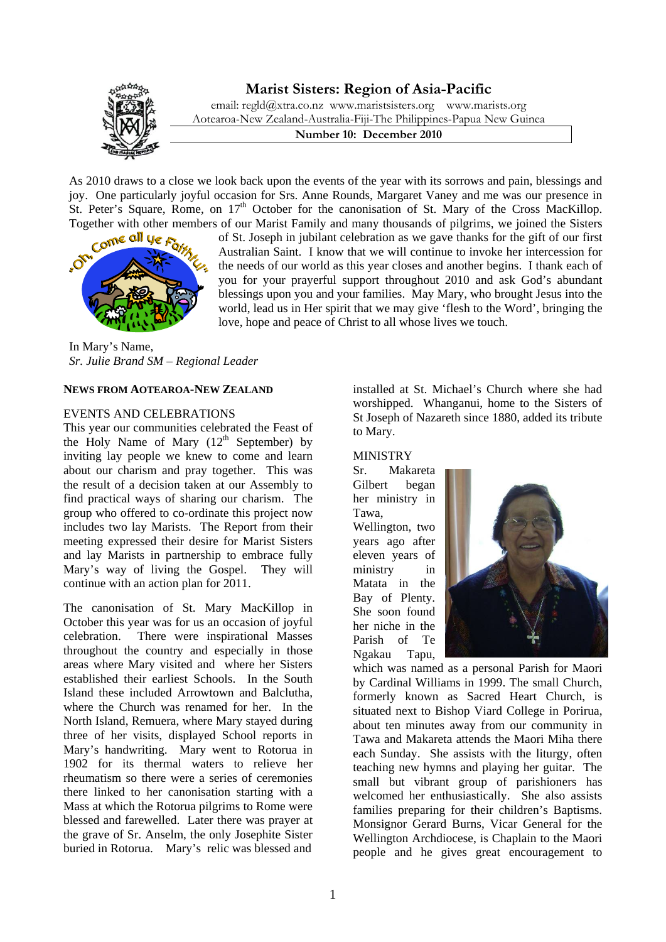# **Marist Sisters: Region of Asia-Pacific**



email: [regld@xtra.co.nz](mailto:regld@xtra.co.nz) [www.maristsisters.org](http://www.maristsisters.org/) www.marists.org Aotearoa-New Zealand-Australia-Fiji-The Philippines-Papua New Guinea

**Number 10: December 2010** 

As 2010 draws to a close we look back upon the events of the year with its sorrows and pain, blessings and joy. One particularly joyful occasion for Srs. Anne Rounds, Margaret Vaney and me was our presence in St. Peter's Square, Rome, on  $17<sup>th</sup>$  October for the canonisation of St. Mary of the Cross MacKillop.



Together with other members of our Marist Family and many thousands of pilgrims, we joined the Sisters of St. Joseph in jubilant celebration as we gave thanks for the gift of our first of St. Joseph in jubilant celebration as we gave thanks for the gift of our first Australian Saint. I know that we will continue to invoke her intercession for the needs of our world as this year closes and another begins. I thank each of you for your prayerful support throughout 2010 and ask God's abundant blessings upon you and your families. May Mary, who brought Jesus into the world, lead us in Her spirit that we may give 'flesh to the Word', bringing the love, hope and peace of Christ to all whose lives we touch.

In Mary's Name, *Sr. Julie Brand SM – Regional Leader*

#### **NEWS FROM AOTEAROA-NEW ZEALAND**

# EVENTS AND CELEBRATIONS

This year our communities celebrated the Feast of the Holy Name of Mary  $(12<sup>th</sup>$  September) by inviting lay people we knew to come and learn about our charism and pray together. This was the result of a decision taken at our Assembly to find practical ways of sharing our charism. The group who offered to co-ordinate this project now includes two lay Marists. The Report from their meeting expressed their desire for Marist Sisters and lay Marists in partnership to embrace fully Mary's way of living the Gospel. They will continue with an action plan for 2011.

The canonisation of St. Mary MacKillop in October this year was for us an occasion of joyful celebration. There were inspirational Masses throughout the country and especially in those areas where Mary visited and where her Sisters established their earliest Schools. In the South Island these included Arrowtown and Balclutha, where the Church was renamed for her. In the North Island, Remuera, where Mary stayed during three of her visits, displayed School reports in Mary's handwriting. Mary went to Rotorua in 1902 for its thermal waters to relieve her rheumatism so there were a series of ceremonies there linked to her canonisation starting with a Mass at which the Rotorua pilgrims to Rome were blessed and farewelled. Later there was prayer at the grave of Sr. Anselm, the only Josephite Sister buried in Rotorua. Mary's relic was blessed and

installed at St. Michael's Church where she had worshipped. Whanganui, home to the Sisters of St Joseph of Nazareth since 1880, added its tribute to Mary.

MINISTRY Sr. Makareta Gilbert began her ministry in Tawa, Wellington, two

years ago after eleven years of ministry in Matata in the Bay of Plenty. She soon found her niche in the Parish of Te Ngakau Tapu,



which was named as a personal Parish for Maori by Cardinal Williams in 1999. The small Church, formerly known as Sacred Heart Church, is situated next to Bishop Viard College in Porirua, about ten minutes away from our community in Tawa and Makareta attends the Maori Miha there each Sunday. She assists with the liturgy, often teaching new hymns and playing her guitar. The small but vibrant group of parishioners has welcomed her enthusiastically. She also assists families preparing for their children's Baptisms. Monsignor Gerard Burns, Vicar General for the Wellington Archdiocese, is Chaplain to the Maori people and he gives great encouragement to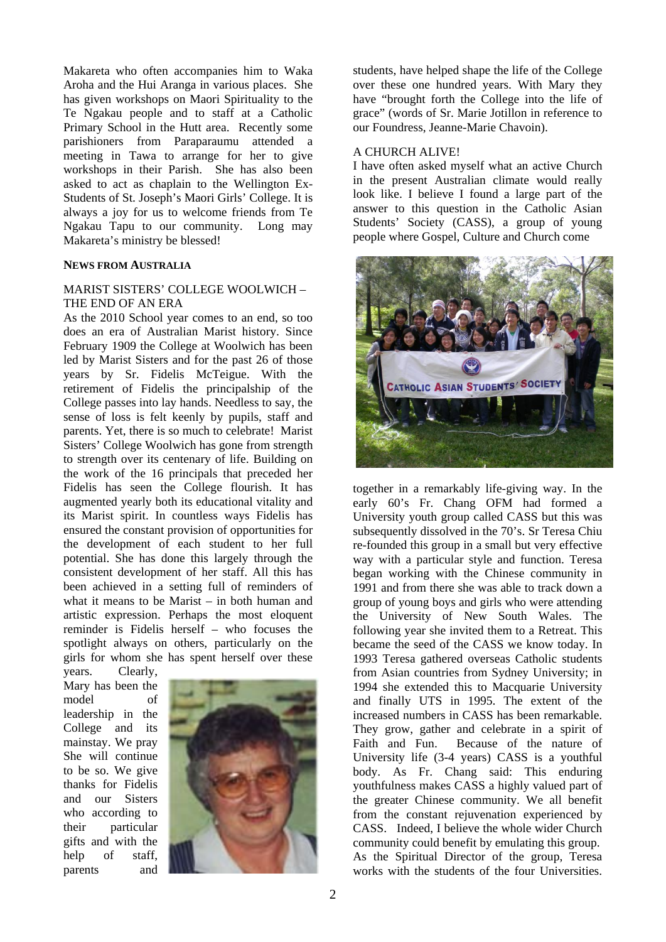Makareta who often accompanies him to Waka Aroha and the Hui Aranga in various places. She has given workshops on Maori Spirituality to the Te Ngakau people and to staff at a Catholic Primary School in the Hutt area. Recently some parishioners from Paraparaumu attended a meeting in Tawa to arrange for her to give workshops in their Parish. She has also been asked to act as chaplain to the Wellington Ex-Students of St. Joseph's Maori Girls' College. It is always a joy for us to welcome friends from Te Ngakau Tapu to our community. Long may Makareta's ministry be blessed!

#### **NEWS FROM AUSTRALIA**

## MARIST SISTERS' COLLEGE WOOLWICH – THE END OF AN ERA

As the 2010 School year comes to an end, so too does an era of Australian Marist history. Since February 1909 the College at Woolwich has been led by Marist Sisters and for the past 26 of those years by Sr. Fidelis McTeigue. With the retirement of Fidelis the principalship of the College passes into lay hands. Needless to say, the sense of loss is felt keenly by pupils, staff and parents. Yet, there is so much to celebrate! Marist Sisters' College Woolwich has gone from strength to strength over its centenary of life. Building on the work of the 16 principals that preceded her Fidelis has seen the College flourish. It has augmented yearly both its educational vitality and its Marist spirit. In countless ways Fidelis has ensured the constant provision of opportunities for the development of each student to her full potential. She has done this largely through the consistent development of her staff. All this has been achieved in a setting full of reminders of what it means to be Marist – in both human and artistic expression. Perhaps the most eloquent reminder is Fidelis herself – who focuses the spotlight always on others, particularly on the girls for whom she has spent herself over these

years. Clearly, Mary has been the model of leadership in the College and its mainstay. We pray She will continue to be so. We give thanks for Fidelis and our Sisters who according to their particular gifts and with the help of staff, parents and



students, have helped shape the life of the College over these one hundred years. With Mary they have "brought forth the College into the life of grace" (words of Sr. Marie Jotillon in reference to our Foundress, Jeanne-Marie Chavoin).

#### A CHURCH ALIVE!

I have often asked myself what an active Church in the present Australian climate would really look like. I believe I found a large part of the answer to this question in the Catholic Asian Students' Society (CASS), a group of young people where Gospel, Culture and Church come



together in a remarkably life-giving way. In the early 60's Fr. Chang OFM had formed a University youth group called CASS but this was subsequently dissolved in the 70's. Sr Teresa Chiu re-founded this group in a small but very effective way with a particular style and function. Teresa began working with the Chinese community in 1991 and from there she was able to track down a group of young boys and girls who were attending the University of New South Wales. The following year she invited them to a Retreat. This became the seed of the CASS we know today. In 1993 Teresa gathered overseas Catholic students from Asian countries from Sydney University; in 1994 she extended this to Macquarie University and finally UTS in 1995. The extent of the increased numbers in CASS has been remarkable. They grow, gather and celebrate in a spirit of Faith and Fun. Because of the nature of University life (3-4 years) CASS is a youthful body. As Fr. Chang said: This enduring youthfulness makes CASS a highly valued part of the greater Chinese community. We all benefit from the constant rejuvenation experienced by CASS. Indeed, I believe the whole wider Church community could benefit by emulating this group. As the Spiritual Director of the group, Teresa works with the students of the four Universities.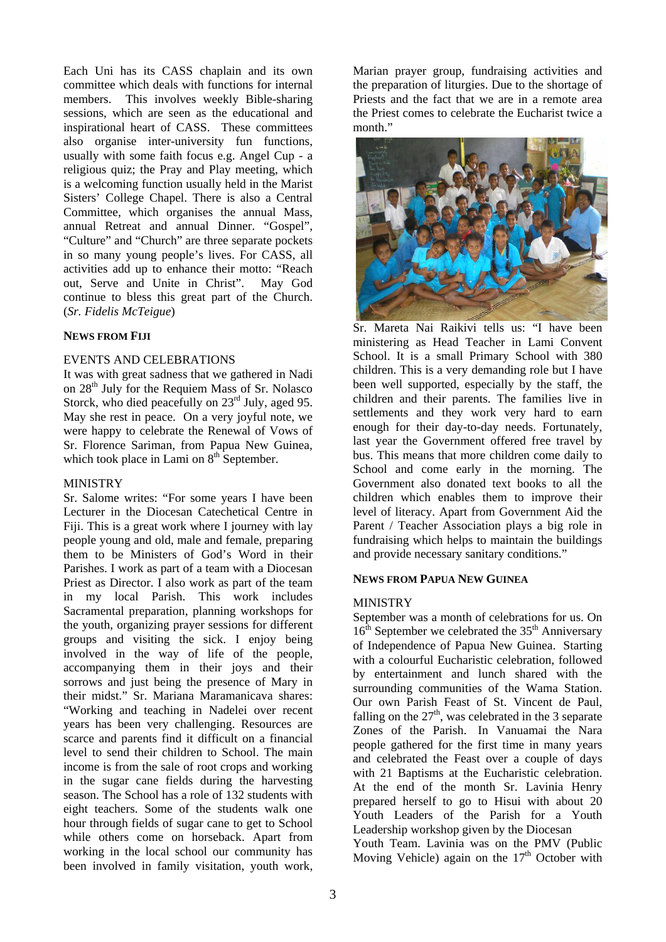Each Uni has its CASS chaplain and its own committee which deals with functions for internal members. This involves weekly Bible-sharing sessions, which are seen as the educational and inspirational heart of CASS. These committees also organise inter-university fun functions, usually with some faith focus e.g. Angel Cup - a religious quiz; the Pray and Play meeting, which is a welcoming function usually held in the Marist Sisters' College Chapel. There is also a Central Committee, which organises the annual Mass, annual Retreat and annual Dinner. "Gospel", "Culture" and "Church" are three separate pockets in so many young people's lives. For CASS, all activities add up to enhance their motto: "Reach out, Serve and Unite in Christ". May God continue to bless this great part of the Church. (*Sr. Fidelis McTeigue*)

# **NEWS FROM FIJI**

# EVENTS AND CELEBRATIONS

It was with great sadness that we gathered in Nadi on 28<sup>th</sup> July for the Requiem Mass of Sr. Nolasco Storck, who died peacefully on  $23<sup>rd</sup>$  July, aged 95. May she rest in peace. On a very joyful note, we were happy to celebrate the Renewal of Vows of Sr. Florence Sariman, from Papua New Guinea, which took place in Lami on  $8<sup>th</sup>$  September.

# MINISTRY

Sr. Salome writes: "For some years I have been Lecturer in the Diocesan Catechetical Centre in Fiji. This is a great work where I journey with lay people young and old, male and female, preparing them to be Ministers of God's Word in their Parishes. I work as part of a team with a Diocesan Priest as Director. I also work as part of the team in my local Parish. This work includes Sacramental preparation, planning workshops for the youth, organizing prayer sessions for different groups and visiting the sick. I enjoy being involved in the way of life of the people, accompanying them in their joys and their sorrows and just being the presence of Mary in their midst." Sr. Mariana Maramanicava shares: "Working and teaching in Nadelei over recent years has been very challenging. Resources are scarce and parents find it difficult on a financial level to send their children to School. The main income is from the sale of root crops and working in the sugar cane fields during the harvesting season. The School has a role of 132 students with eight teachers. Some of the students walk one hour through fields of sugar cane to get to School while others come on horseback. Apart from working in the local school our community has been involved in family visitation, youth work,

Marian prayer group, fundraising activities and the preparation of liturgies. Due to the shortage of Priests and the fact that we are in a remote area the Priest comes to celebrate the Eucharist twice a month."



Sr. Mareta Nai Raikivi tells us: "I have been ministering as Head Teacher in Lami Convent School. It is a small Primary School with 380 children. This is a very demanding role but I have been well supported, especially by the staff, the children and their parents. The families live in settlements and they work very hard to earn enough for their day-to-day needs. Fortunately, last year the Government offered free travel by bus. This means that more children come daily to School and come early in the morning. The Government also donated text books to all the children which enables them to improve their level of literacy. Apart from Government Aid the Parent / Teacher Association plays a big role in fundraising which helps to maintain the buildings and provide necessary sanitary conditions."

#### **NEWS FROM PAPUA NEW GUINEA**

# **MINISTRY**

September was a month of celebrations for us. On  $16<sup>th</sup>$  September we celebrated the 35<sup>th</sup> Anniversary of Independence of Papua New Guinea. Starting with a colourful Eucharistic celebration, followed by entertainment and lunch shared with the surrounding communities of the Wama Station. Our own Parish Feast of St. Vincent de Paul, falling on the  $27<sup>th</sup>$ , was celebrated in the 3 separate Zones of the Parish. In Vanuamai the Nara people gathered for the first time in many years and celebrated the Feast over a couple of days with 21 Baptisms at the Eucharistic celebration. At the end of the month Sr. Lavinia Henry prepared herself to go to Hisui with about 20 Youth Leaders of the Parish for a Youth Leadership workshop given by the Diocesan

Youth Team. Lavinia was on the PMV (Public Moving Vehicle) again on the  $17<sup>th</sup>$  October with